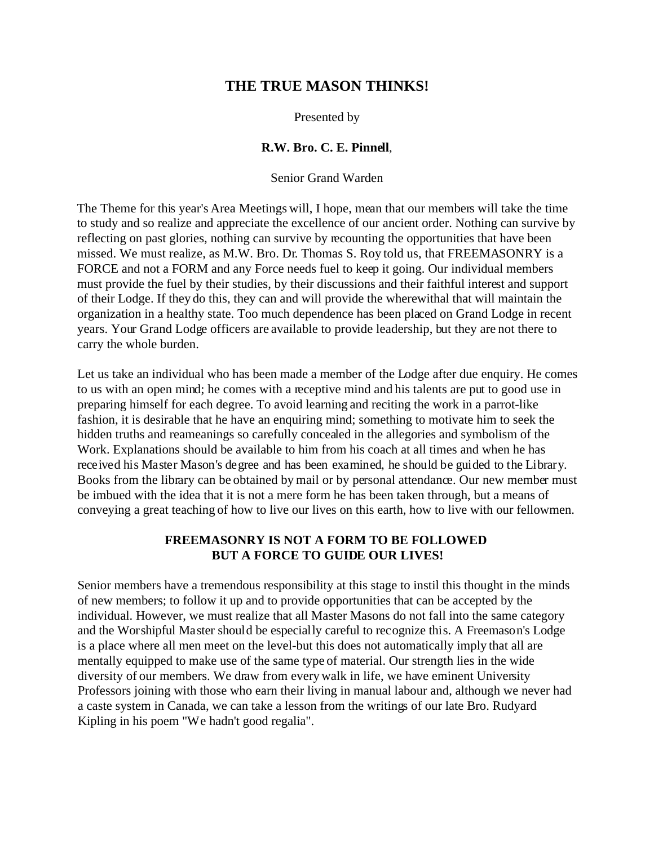# **THE TRUE MASON THINKS!**

#### Presented by

### **R.W. Bro. C. E. Pinnell**,

#### Senior Grand Warden

The Theme for this year's Area Meetings will, I hope, mean that our members will take the time to study and so realize and appreciate the excellence of our ancient order. Nothing can survive by reflecting on past glories, nothing can survive by recounting the opportunities that have been missed. We must realize, as M.W. Bro. Dr. Thomas S. Roy told us, that FREEMASONRY is a FORCE and not a FORM and any Force needs fuel to keep it going. Our individual members must provide the fuel by their studies, by their discussions and their faithful interest and support of their Lodge. If they do this, they can and will provide the wherewithal that will maintain the organization in a healthy state. Too much dependence has been placed on Grand Lodge in recent years. Your Grand Lodge officers are available to provide leadership, but they are not there to carry the whole burden.

Let us take an individual who has been made a member of the Lodge after due enquiry. He comes to us with an open mind; he comes with a receptive mind and his talents are put to good use in preparing himself for each degree. To avoid learning and reciting the work in a parrot-like fashion, it is desirable that he have an enquiring mind; something to motivate him to seek the hidden truths and reameanings so carefully concealed in the allegories and symbolism of the Work. Explanations should be available to him from his coach at all times and when he has received his Master Mason's degree and has been examined, he should be guided to the Library. Books from the library can be obtained by mail or by personal attendance. Our new member must be imbued with the idea that it is not a mere form he has been taken through, but a means of conveying a great teaching of how to live our lives on this earth, how to live with our fellowmen.

## **FREEMASONRY IS NOT A FORM TO BE FOLLOWED BUT A FORCE TO GUIDE OUR LIVES!**

Senior members have a tremendous responsibility at this stage to instil this thought in the minds of new members; to follow it up and to provide opportunities that can be accepted by the individual. However, we must realize that all Master Masons do not fall into the same category and the Worshipful Master should be especially careful to recognize this. A Freemason's Lodge is a place where all men meet on the level-but this does not automatically imply that all are mentally equipped to make use of the same type of material. Our strength lies in the wide diversity of our members. We draw from every walk in life, we have eminent University Professors joining with those who earn their living in manual labour and, although we never had a caste system in Canada, we can take a lesson from the writings of our late Bro. Rudyard Kipling in his poem "We hadn't good regalia".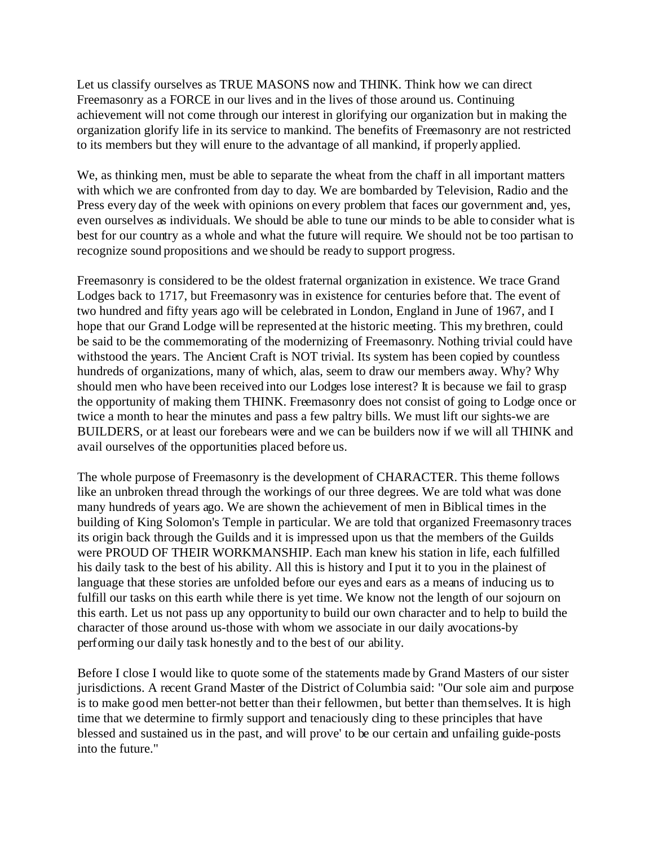Let us classify ourselves as TRUE MASONS now and THINK. Think how we can direct Freemasonry as a FORCE in our lives and in the lives of those around us. Continuing achievement will not come through our interest in glorifying our organization but in making the organization glorify life in its service to mankind. The benefits of Freemasonry are not restricted to its members but they will enure to the advantage of all mankind, if properly applied.

We, as thinking men, must be able to separate the wheat from the chaff in all important matters with which we are confronted from day to day. We are bombarded by Television, Radio and the Press every day of the week with opinions on every problem that faces our government and, yes, even ourselves as individuals. We should be able to tune our minds to be able to consider what is best for our country as a whole and what the future will require. We should not be too partisan to recognize sound propositions and we should be ready to support progress.

Freemasonry is considered to be the oldest fraternal organization in existence. We trace Grand Lodges back to 1717, but Freemasonry was in existence for centuries before that. The event of two hundred and fifty years ago will be celebrated in London, England in June of 1967, and I hope that our Grand Lodge will be represented at the historic meeting. This my brethren, could be said to be the commemorating of the modernizing of Freemasonry. Nothing trivial could have withstood the years. The Ancient Craft is NOT trivial. Its system has been copied by countless hundreds of organizations, many of which, alas, seem to draw our members away. Why? Why should men who have been received into our Lodges lose interest? It is because we fail to grasp the opportunity of making them THINK. Freemasonry does not consist of going to Lodge once or twice a month to hear the minutes and pass a few paltry bills. We must lift our sights-we are BUILDERS, or at least our forebears were and we can be builders now if we will all THINK and avail ourselves of the opportunities placed before us.

The whole purpose of Freemasonry is the development of CHARACTER. This theme follows like an unbroken thread through the workings of our three degrees. We are told what was done many hundreds of years ago. We are shown the achievement of men in Biblical times in the building of King Solomon's Temple in particular. We are told that organized Freemasonry traces its origin back through the Guilds and it is impressed upon us that the members of the Guilds were PROUD OF THEIR WORKMANSHIP. Each man knew his station in life, each fulfilled his daily task to the best of his ability. All this is history and I put it to you in the plainest of language that these stories are unfolded before our eyes and ears as a means of inducing us to fulfill our tasks on this earth while there is yet time. We know not the length of our sojourn on this earth. Let us not pass up any opportunity to build our own character and to help to build the character of those around us-those with whom we associate in our daily avocations-by performing our daily task honestly and to the best of our ability.

Before I close I would like to quote some of the statements made by Grand Masters of our sister jurisdictions. A recent Grand Master of the District of Columbia said: "Our sole aim and purpose is to make good men better-not better than their fellowmen, but better than themselves. It is high time that we determine to firmly support and tenaciously cling to these principles that have blessed and sustained us in the past, and will prove' to be our certain and unfailing guide-posts into the future."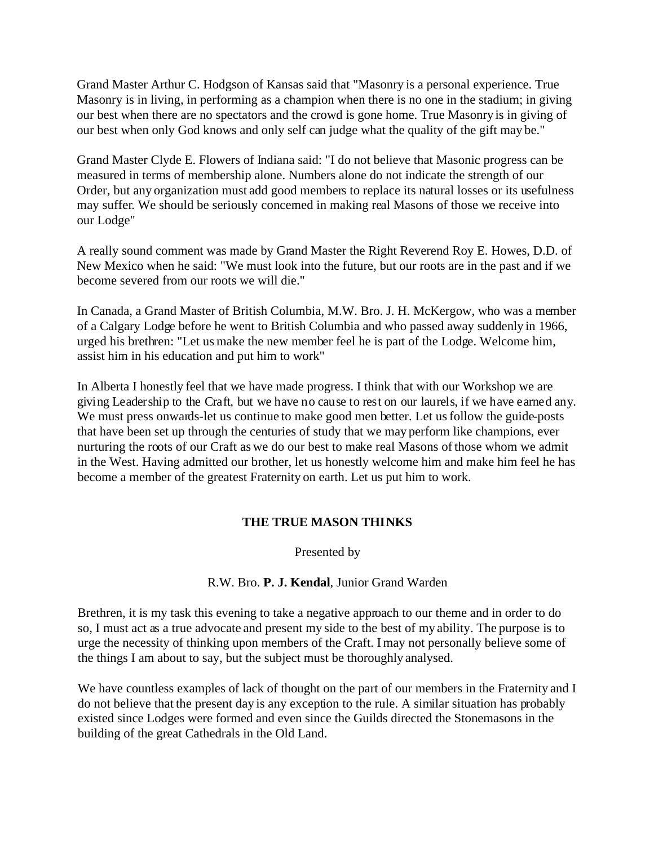Grand Master Arthur C. Hodgson of Kansas said that "Masonry is a personal experience. True Masonry is in living, in performing as a champion when there is no one in the stadium; in giving our best when there are no spectators and the crowd is gone home. True Masonry is in giving of our best when only God knows and only self can judge what the quality of the gift may be."

Grand Master Clyde E. Flowers of Indiana said: "I do not believe that Masonic progress can be measured in terms of membership alone. Numbers alone do not indicate the strength of our Order, but any organization must add good members to replace its natural losses or its usefulness may suffer. We should be seriously concerned in making real Masons of those we receive into our Lodge"

A really sound comment was made by Grand Master the Right Reverend Roy E. Howes, D.D. of New Mexico when he said: "We must look into the future, but our roots are in the past and if we become severed from our roots we will die."

In Canada, a Grand Master of British Columbia, M.W. Bro. J. H. McKergow, who was a member of a Calgary Lodge before he went to British Columbia and who passed away suddenly in 1966, urged his brethren: "Let us make the new member feel he is part of the Lodge. Welcome him, assist him in his education and put him to work"

In Alberta I honestly feel that we have made progress. I think that with our Workshop we are giving Leadership to the Craft, but we have no cause to rest on our laurels, if we have earned any. We must press onwards-let us continue to make good men better. Let us follow the guide-posts that have been set up through the centuries of study that we may perform like champions, ever nurturing the roots of our Craft as we do our best to make real Masons of those whom we admit in the West. Having admitted our brother, let us honestly welcome him and make him feel he has become a member of the greatest Fraternity on earth. Let us put him to work.

# **THE TRUE MASON THINKS**

Presented by

# R.W. Bro. **P. J. Kendal**, Junior Grand Warden

Brethren, it is my task this evening to take a negative approach to our theme and in order to do so, I must act as a true advocate and present my side to the best of my ability. The purpose is to urge the necessity of thinking upon members of the Craft. I may not personally believe some of the things I am about to say, but the subject must be thoroughly analysed.

We have countless examples of lack of thought on the part of our members in the Fraternity and I do not believe that the present day is any exception to the rule. A similar situation has probably existed since Lodges were formed and even since the Guilds directed the Stonemasons in the building of the great Cathedrals in the Old Land.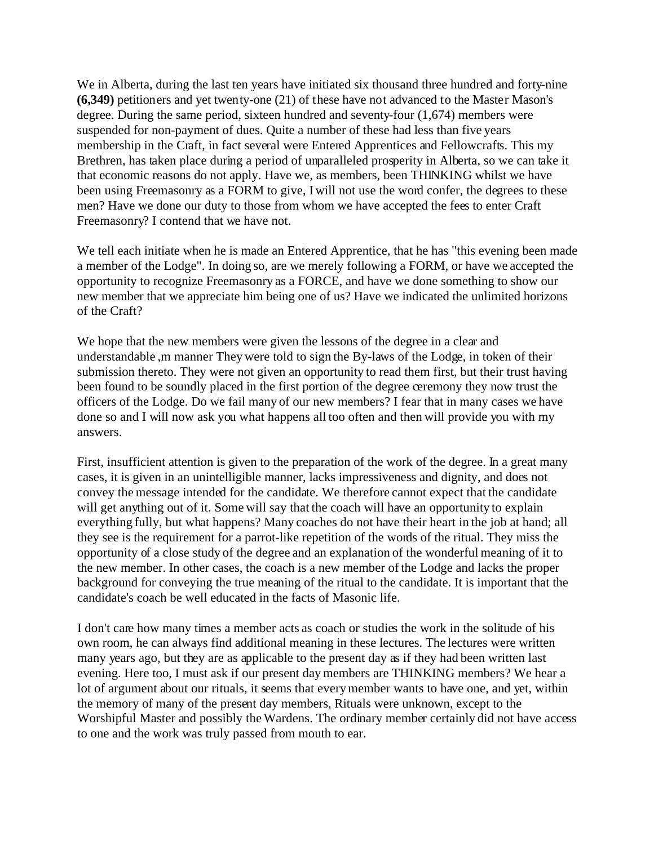We in Alberta, during the last ten years have initiated six thousand three hundred and forty-nine **(6,349)** petitioners and yet twenty-one (21) of these have not advanced to the Master Mason's degree. During the same period, sixteen hundred and seventy-four (1,674) members were suspended for non-payment of dues. Quite a number of these had less than five years membership in the Craft, in fact several were Entered Apprentices and Fellowcrafts. This my Brethren, has taken place during a period of unparalleled prosperity in Alberta, so we can take it that economic reasons do not apply. Have we, as members, been THINKING whilst we have been using Freemasonry as a FORM to give, I will not use the word confer, the degrees to these men? Have we done our duty to those from whom we have accepted the fees to enter Craft Freemasonry? I contend that we have not.

We tell each initiate when he is made an Entered Apprentice, that he has "this evening been made a member of the Lodge". In doing so, are we merely following a FORM, or have we accepted the opportunity to recognize Freemasonry as a FORCE, and have we done something to show our new member that we appreciate him being one of us? Have we indicated the unlimited horizons of the Craft?

We hope that the new members were given the lessons of the degree in a clear and understandable ,m manner They were told to sign the By-laws of the Lodge, in token of their submission thereto. They were not given an opportunity to read them first, but their trust having been found to be soundly placed in the first portion of the degree ceremony they now trust the officers of the Lodge. Do we fail many of our new members? I fear that in many cases we have done so and I will now ask you what happens all too often and then will provide you with my answers.

First, insufficient attention is given to the preparation of the work of the degree. In a great many cases, it is given in an unintelligible manner, lacks impressiveness and dignity, and does not convey the message intended for the candidate. We therefore cannot expect that the candidate will get anything out of it. Some will say that the coach will have an opportunity to explain everything fully, but what happens? Many coaches do not have their heart in the job at hand; all they see is the requirement for a parrot-like repetition of the words of the ritual. They miss the opportunity of a close study of the degree and an explanation of the wonderful meaning of it to the new member. In other cases, the coach is a new member of the Lodge and lacks the proper background for conveying the true meaning of the ritual to the candidate. It is important that the candidate's coach be well educated in the facts of Masonic life.

I don't care how many times a member acts as coach or studies the work in the solitude of his own room, he can always find additional meaning in these lectures. The lectures were written many years ago, but they are as applicable to the present day as if they had been written last evening. Here too, I must ask if our present day members are THINKING members? We hear a lot of argument about our rituals, it seems that every member wants to have one, and yet, within the memory of many of the present day members, Rituals were unknown, except to the Worshipful Master and possibly the Wardens. The ordinary member certainly did not have access to one and the work was truly passed from mouth to ear.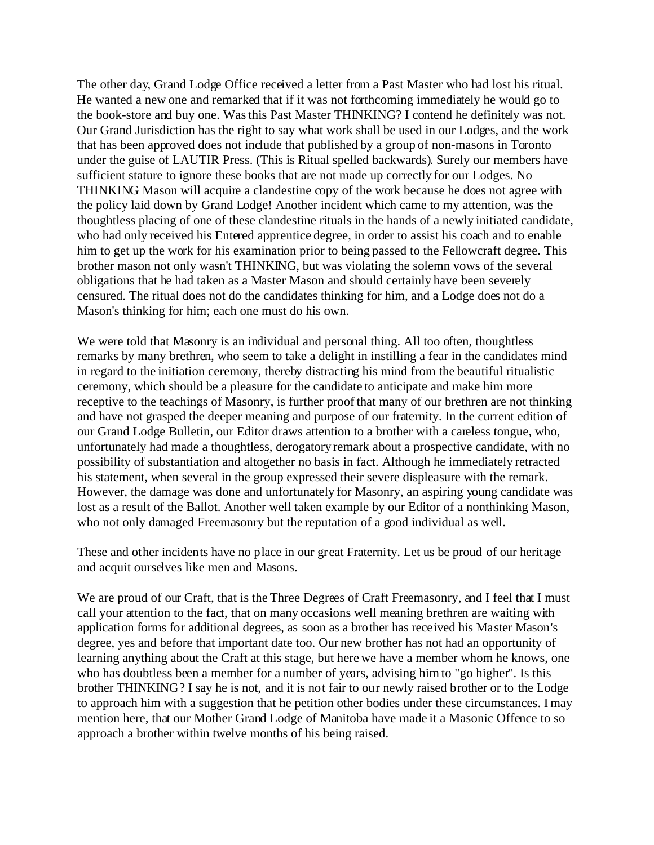The other day, Grand Lodge Office received a letter from a Past Master who had lost his ritual. He wanted a new one and remarked that if it was not forthcoming immediately he would go to the book-store and buy one. Was this Past Master THINKING? I contend he definitely was not. Our Grand Jurisdiction has the right to say what work shall be used in our Lodges, and the work that has been approved does not include that published by a group of non-masons in Toronto under the guise of LAUTIR Press. (This is Ritual spelled backwards). Surely our members have sufficient stature to ignore these books that are not made up correctly for our Lodges. No THINKING Mason will acquire a clandestine copy of the work because he does not agree with the policy laid down by Grand Lodge! Another incident which came to my attention, was the thoughtless placing of one of these clandestine rituals in the hands of a newly initiated candidate, who had only received his Entered apprentice degree, in order to assist his coach and to enable him to get up the work for his examination prior to being passed to the Fellowcraft degree. This brother mason not only wasn't THINKING, but was violating the solemn vows of the several obligations that he had taken as a Master Mason and should certainly have been severely censured. The ritual does not do the candidates thinking for him, and a Lodge does not do a Mason's thinking for him; each one must do his own.

We were told that Masonry is an individual and personal thing. All too often, thoughtless remarks by many brethren, who seem to take a delight in instilling a fear in the candidates mind in regard to the initiation ceremony, thereby distracting his mind from the beautiful ritualistic ceremony, which should be a pleasure for the candidate to anticipate and make him more receptive to the teachings of Masonry, is further proof that many of our brethren are not thinking and have not grasped the deeper meaning and purpose of our fraternity. In the current edition of our Grand Lodge Bulletin, our Editor draws attention to a brother with a careless tongue, who, unfortunately had made a thoughtless, derogatory remark about a prospective candidate, with no possibility of substantiation and altogether no basis in fact. Although he immediately retracted his statement, when several in the group expressed their severe displeasure with the remark. However, the damage was done and unfortunately for Masonry, an aspiring young candidate was lost as a result of the Ballot. Another well taken example by our Editor of a nonthinking Mason, who not only damaged Freemasonry but the reputation of a good individual as well.

These and other incidents have no place in our great Fraternity. Let us be proud of our heritage and acquit ourselves like men and Masons.

We are proud of our Craft, that is the Three Degrees of Craft Freemasonry, and I feel that I must call your attention to the fact, that on many occasions well meaning brethren are waiting with application forms for additional degrees, as soon as a brother has received his Master Mason's degree, yes and before that important date too. Our new brother has not had an opportunity of learning anything about the Craft at this stage, but here we have a member whom he knows, one who has doubtless been a member for a number of years, advising him to "go higher". Is this brother THINKING? I say he is not, and it is not fair to our newly raised brother or to the Lodge to approach him with a suggestion that he petition other bodies under these circumstances. I may mention here, that our Mother Grand Lodge of Manitoba have made it a Masonic Offence to so approach a brother within twelve months of his being raised.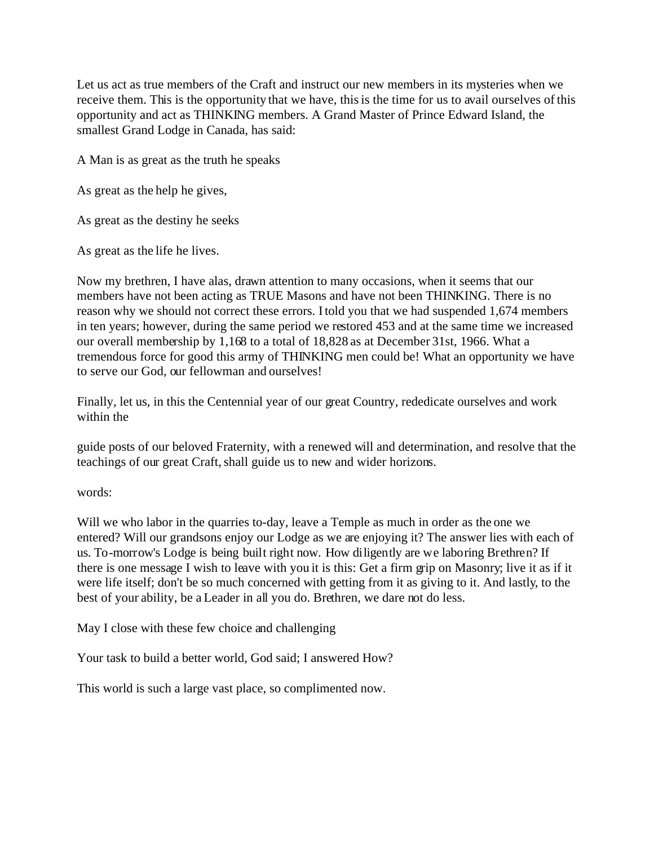Let us act as true members of the Craft and instruct our new members in its mysteries when we receive them. This is the opportunity that we have, this is the time for us to avail ourselves of this opportunity and act as THINKING members. A Grand Master of Prince Edward Island, the smallest Grand Lodge in Canada, has said:

A Man is as great as the truth he speaks

As great as the help he gives,

As great as the destiny he seeks

As great as the life he lives.

Now my brethren, I have alas, drawn attention to many occasions, when it seems that our members have not been acting as TRUE Masons and have not been THINKING. There is no reason why we should not correct these errors. I told you that we had suspended 1,674 members in ten years; however, during the same period we restored 453 and at the same time we increased our overall membership by 1,168 to a total of 18,828 as at December 31st, 1966. What a tremendous force for good this army of THINKING men could be! What an opportunity we have to serve our God, our fellowman and ourselves!

Finally, let us, in this the Centennial year of our great Country, rededicate ourselves and work within the

guide posts of our beloved Fraternity, with a renewed will and determination, and resolve that the teachings of our great Craft, shall guide us to new and wider horizons.

words:

Will we who labor in the quarries to-day, leave a Temple as much in order as the one we entered? Will our grandsons enjoy our Lodge as we are enjoying it? The answer lies with each of us. To-morrow's Lodge is being built right now. How diligently are we laboring Brethren? If there is one message I wish to leave with you it is this: Get a firm grip on Masonry; live it as if it were life itself; don't be so much concerned with getting from it as giving to it. And lastly, to the best of your ability, be a Leader in all you do. Brethren, we dare not do less.

May I close with these few choice and challenging

Your task to build a better world, God said; I answered How?

This world is such a large vast place, so complimented now.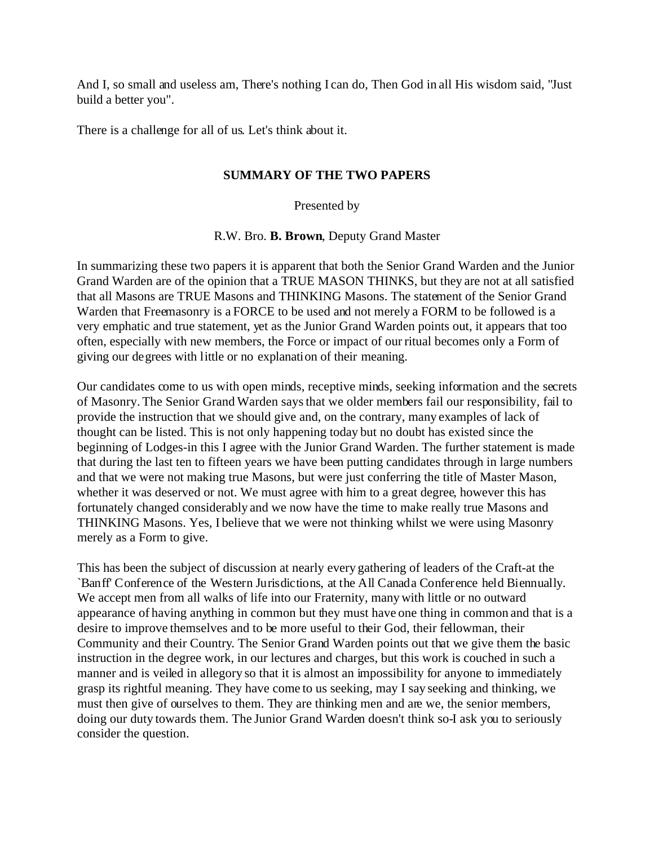And I, so small and useless am, There's nothing I can do, Then God in all His wisdom said, "Just build a better you".

There is a challenge for all of us. Let's think about it.

## **SUMMARY OF THE TWO PAPERS**

Presented by

R.W. Bro. **B. Brown**, Deputy Grand Master

In summarizing these two papers it is apparent that both the Senior Grand Warden and the Junior Grand Warden are of the opinion that a TRUE MASON THINKS, but they are not at all satisfied that all Masons are TRUE Masons and THINKING Masons. The statement of the Senior Grand Warden that Freemasonry is a FORCE to be used and not merely a FORM to be followed is a very emphatic and true statement, yet as the Junior Grand Warden points out, it appears that too often, especially with new members, the Force or impact of our ritual becomes only a Form of giving our degrees with little or no explanation of their meaning.

Our candidates come to us with open minds, receptive minds, seeking information and the secrets of Masonry. The Senior Grand Warden says that we older members fail our responsibility, fail to provide the instruction that we should give and, on the contrary, many examples of lack of thought can be listed. This is not only happening today but no doubt has existed since the beginning of Lodges-in this I agree with the Junior Grand Warden. The further statement is made that during the last ten to fifteen years we have been putting candidates through in large numbers and that we were not making true Masons, but were just conferring the title of Master Mason, whether it was deserved or not. We must agree with him to a great degree, however this has fortunately changed considerably and we now have the time to make really true Masons and THINKING Masons. Yes, I believe that we were not thinking whilst we were using Masonry merely as a Form to give.

This has been the subject of discussion at nearly every gathering of leaders of the Craft-at the `Banff' Conference of the Western Jurisdictions, at the All Canada Conference held Biennually. We accept men from all walks of life into our Fraternity, many with little or no outward appearance of having anything in common but they must have one thing in common and that is a desire to improve themselves and to be more useful to their God, their fellowman, their Community and their Country. The Senior Grand Warden points out that we give them the basic instruction in the degree work, in our lectures and charges, but this work is couched in such a manner and is veiled in allegory so that it is almost an impossibility for anyone to immediately grasp its rightful meaning. They have come to us seeking, may I say seeking and thinking, we must then give of ourselves to them. They are thinking men and are we, the senior members, doing our duty towards them. The Junior Grand Warden doesn't think so-I ask you to seriously consider the question.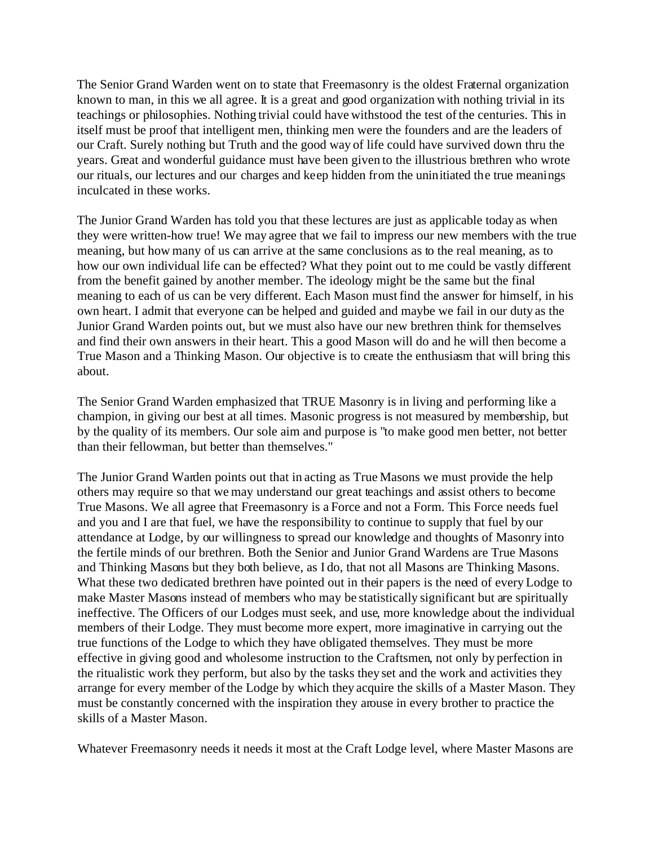The Senior Grand Warden went on to state that Freemasonry is the oldest Fraternal organization known to man, in this we all agree. It is a great and good organization with nothing trivial in its teachings or philosophies. Nothing trivial could have withstood the test of the centuries. This in itself must be proof that intelligent men, thinking men were the founders and are the leaders of our Craft. Surely nothing but Truth and the good way of life could have survived down thru the years. Great and wonderful guidance must have been given to the illustrious brethren who wrote our rituals, our lectures and our charges and keep hidden from the uninitiated the true meanings inculcated in these works.

The Junior Grand Warden has told you that these lectures are just as applicable today as when they were written-how true! We may agree that we fail to impress our new members with the true meaning, but how many of us can arrive at the same conclusions as to the real meaning, as to how our own individual life can be effected? What they point out to me could be vastly different from the benefit gained by another member. The ideology might be the same but the final meaning to each of us can be very different. Each Mason must find the answer for himself, in his own heart. I admit that everyone can be helped and guided and maybe we fail in our duty as the Junior Grand Warden points out, but we must also have our new brethren think for themselves and find their own answers in their heart. This a good Mason will do and he will then become a True Mason and a Thinking Mason. Our objective is to create the enthusiasm that will bring this about.

The Senior Grand Warden emphasized that TRUE Masonry is in living and performing like a champion, in giving our best at all times. Masonic progress is not measured by membership, but by the quality of its members. Our sole aim and purpose is "to make good men better, not better than their fellowman, but better than themselves."

The Junior Grand Warden points out that in acting as True Masons we must provide the help others may require so that we may understand our great teachings and assist others to become True Masons. We all agree that Freemasonry is a Force and not a Form. This Force needs fuel and you and I are that fuel, we have the responsibility to continue to supply that fuel by our attendance at Lodge, by our willingness to spread our knowledge and thoughts of Masonry into the fertile minds of our brethren. Both the Senior and Junior Grand Wardens are True Masons and Thinking Masons but they both believe, as I do, that not all Masons are Thinking Masons. What these two dedicated brethren have pointed out in their papers is the need of every Lodge to make Master Masons instead of members who may be statistically significant but are spiritually ineffective. The Officers of our Lodges must seek, and use, more knowledge about the individual members of their Lodge. They must become more expert, more imaginative in carrying out the true functions of the Lodge to which they have obligated themselves. They must be more effective in giving good and wholesome instruction to the Craftsmen, not only by perfection in the ritualistic work they perform, but also by the tasks they set and the work and activities they arrange for every member of the Lodge by which they acquire the skills of a Master Mason. They must be constantly concerned with the inspiration they arouse in every brother to practice the skills of a Master Mason.

Whatever Freemasonry needs it needs it most at the Craft Lodge level, where Master Masons are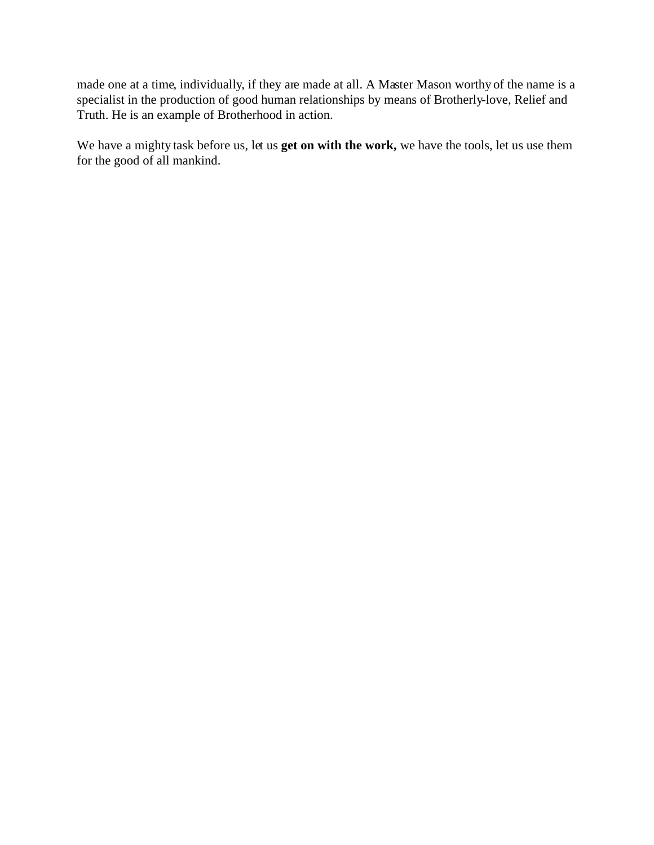made one at a time, individually, if they are made at all. A Master Mason worthy of the name is a specialist in the production of good human relationships by means of Brotherly-love, Relief and Truth. He is an example of Brotherhood in action.

We have a mighty task before us, let us **get on with the work,** we have the tools, let us use them for the good of all mankind.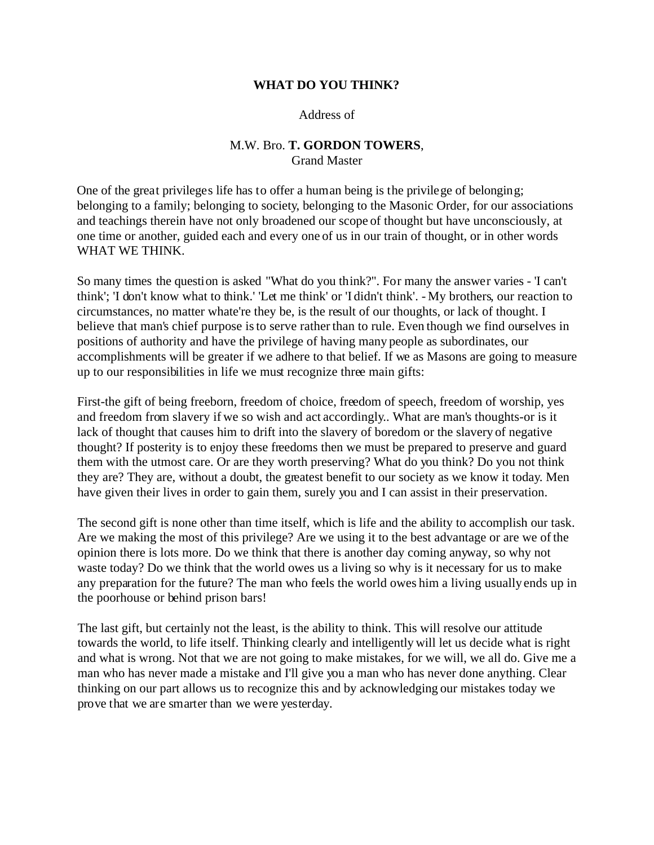### **WHAT DO YOU THINK?**

Address of

## M.W. Bro. **T. GORDON TOWERS**, Grand Master

One of the great privileges life has to offer a human being is the privilege of belonging; belonging to a family; belonging to society, belonging to the Masonic Order, for our associations and teachings therein have not only broadened our scope of thought but have unconsciously, at one time or another, guided each and every one of us in our train of thought, or in other words WHAT WE THINK.

So many times the question is asked "What do you think?". For many the answer varies - 'I can't think'; 'I don't know what to think.' 'Let me think' or 'I didn't think'. - My brothers, our reaction to circumstances, no matter whate're they be, is the result of our thoughts, or lack of thought. I believe that man's chief purpose is to serve rather than to rule. Even though we find ourselves in positions of authority and have the privilege of having many people as subordinates, our accomplishments will be greater if we adhere to that belief. If we as Masons are going to measure up to our responsibilities in life we must recognize three main gifts:

First-the gift of being freeborn, freedom of choice, freedom of speech, freedom of worship, yes and freedom from slavery if we so wish and act accordingly.. What are man's thoughts-or is it lack of thought that causes him to drift into the slavery of boredom or the slavery of negative thought? If posterity is to enjoy these freedoms then we must be prepared to preserve and guard them with the utmost care. Or are they worth preserving? What do you think? Do you not think they are? They are, without a doubt, the greatest benefit to our society as we know it today. Men have given their lives in order to gain them, surely you and I can assist in their preservation.

The second gift is none other than time itself, which is life and the ability to accomplish our task. Are we making the most of this privilege? Are we using it to the best advantage or are we of the opinion there is lots more. Do we think that there is another day coming anyway, so why not waste today? Do we think that the world owes us a living so why is it necessary for us to make any preparation for the future? The man who feels the world owes him a living usually ends up in the poorhouse or behind prison bars!

The last gift, but certainly not the least, is the ability to think. This will resolve our attitude towards the world, to life itself. Thinking clearly and intelligently will let us decide what is right and what is wrong. Not that we are not going to make mistakes, for we will, we all do. Give me a man who has never made a mistake and I'll give you a man who has never done anything. Clear thinking on our part allows us to recognize this and by acknowledging our mistakes today we prove that we are smarter than we were yesterday.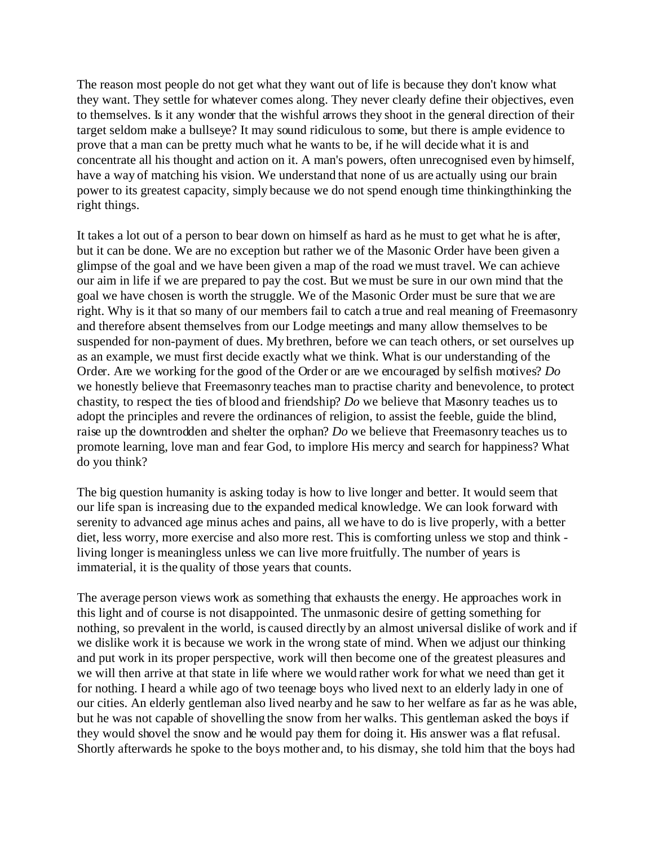The reason most people do not get what they want out of life is because they don't know what they want. They settle for whatever comes along. They never clearly define their objectives, even to themselves. Is it any wonder that the wishful arrows they shoot in the general direction of their target seldom make a bullseye? It may sound ridiculous to some, but there is ample evidence to prove that a man can be pretty much what he wants to be, if he will decide what it is and concentrate all his thought and action on it. A man's powers, often unrecognised even by himself, have a way of matching his vision. We understand that none of us are actually using our brain power to its greatest capacity, simply because we do not spend enough time thinkingthinking the right things.

It takes a lot out of a person to bear down on himself as hard as he must to get what he is after, but it can be done. We are no exception but rather we of the Masonic Order have been given a glimpse of the goal and we have been given a map of the road we must travel. We can achieve our aim in life if we are prepared to pay the cost. But we must be sure in our own mind that the goal we have chosen is worth the struggle. We of the Masonic Order must be sure that we are right. Why is it that so many of our members fail to catch a true and real meaning of Freemasonry and therefore absent themselves from our Lodge meetings and many allow themselves to be suspended for non-payment of dues. My brethren, before we can teach others, or set ourselves up as an example, we must first decide exactly what we think. What is our understanding of the Order. Are we working for the good of the Order or are we encouraged by selfish motives? *Do* we honestly believe that Freemasonry teaches man to practise charity and benevolence, to protect chastity, to respect the ties of blood and friendship? *Do* we believe that Masonry teaches us to adopt the principles and revere the ordinances of religion, to assist the feeble, guide the blind, raise up the downtrodden and shelter the orphan? *Do* we believe that Freemasonry teaches us to promote learning, love man and fear God, to implore His mercy and search for happiness? What do you think?

The big question humanity is asking today is how to live longer and better. It would seem that our life span is increasing due to the expanded medical knowledge. We can look forward with serenity to advanced age minus aches and pains, all we have to do is live properly, with a better diet, less worry, more exercise and also more rest. This is comforting unless we stop and think living longer is meaningless unless we can live more fruitfully. The number of years is immaterial, it is the quality of those years that counts.

The average person views work as something that exhausts the energy. He approaches work in this light and of course is not disappointed. The unmasonic desire of getting something for nothing, so prevalent in the world, is caused directly by an almost universal dislike of work and if we dislike work it is because we work in the wrong state of mind. When we adjust our thinking and put work in its proper perspective, work will then become one of the greatest pleasures and we will then arrive at that state in life where we would rather work for what we need than get it for nothing. I heard a while ago of two teenage boys who lived next to an elderly lady in one of our cities. An elderly gentleman also lived nearby and he saw to her welfare as far as he was able, but he was not capable of shovelling the snow from her walks. This gentleman asked the boys if they would shovel the snow and he would pay them for doing it. His answer was a flat refusal. Shortly afterwards he spoke to the boys mother and, to his dismay, she told him that the boys had